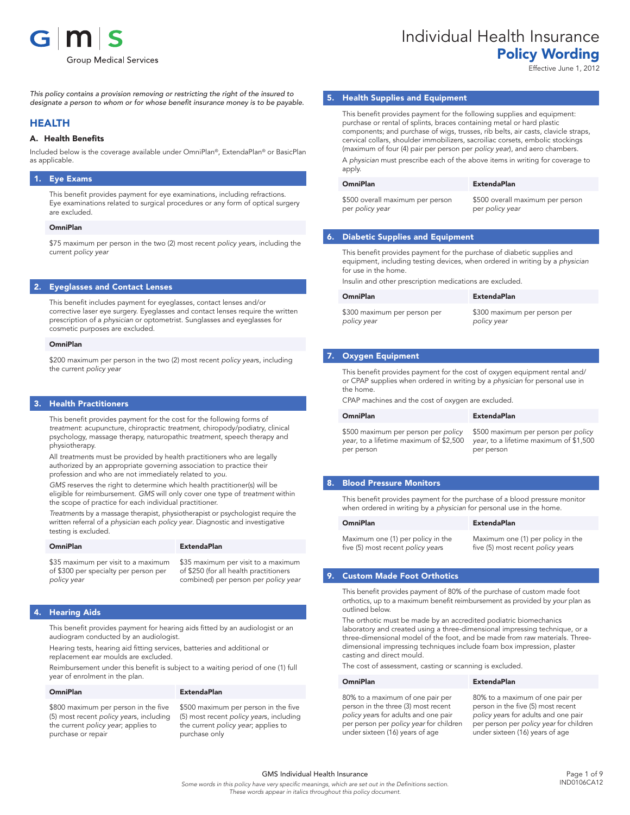

*This policy contains a provision removing or restricting the right of the insured to designate a person to whom or for whose benefit insurance money is to be payable.*

### HEALTH

#### A. Health Benefits

Included below is the coverage available under OmniPlan®, ExtendaPlan® or BasicPlan as applicable.

#### 1. Eye Exams

This benefit provides payment for eye examinations, including refractions. Eye examinations related to surgical procedures or any form of optical surgery are excluded.

#### OmniPlan

\$75 maximum per person in the two (2) most recent *policy year*s, including the current *policy year*

#### 2. Eyeglasses and Contact Lenses

This benefit includes payment for eyeglasses, contact lenses and/or corrective laser eye surgery. Eyeglasses and contact lenses require the written prescription of a *physician* or optometrist. Sunglasses and eyeglasses for cosmetic purposes are excluded.

#### OmniPlan

\$200 maximum per person in the two (2) most recent *policy year*s, including the current *policy year*

#### **Health Practitioners**

This benefit provides payment for the cost for the following forms of *treatment*: acupuncture, chiropractic *treatment*, chiropody/podiatry, clinical psychology, massage therapy, naturopathic *treatment*, speech therapy and physiotherapy.

All *treatment*s must be provided by health practitioners who are legally authorized by an appropriate governing association to practice their profession and who are not immediately related to *you*.

*GMS* reserves the right to determine which health practitioner(s) will be eligible for reimbursement. *GMS* will only cover one type of *treatment* within the scope of practice for each individual practitioner.

*Treatment*s by a massage therapist, physiotherapist or psychologist require the written referral of a *physician* each *policy year*. Diagnostic and investigative testing is excluded.

| <b>OmniPlan</b>                       | <b>ExtendaPlan</b>                     |
|---------------------------------------|----------------------------------------|
| \$35 maximum per visit to a maximum   | \$35 maximum per visit to a maximum    |
| of \$300 per specialty per person per | of \$250 (for all health practitioners |
| policy year                           | combined) per person per policy year   |

#### **Hearing Aids**

This benefit provides payment for hearing aids fitted by an audiologist or an audiogram conducted by an audiologist.

Hearing tests, hearing aid fitting services, batteries and additional or replacement ear moulds are excluded.

Reimbursement under this benefit is subject to a waiting period of one (1) full year of enrolment in the plan.

#### OmniPlan ExtendaPlan

\$800 maximum per person in the five (5) most recent *policy year*s, including the current *policy year*; applies to purchase or repair

\$500 maximum per person in the five (5) most recent *policy year*s, including the current *policy year*; applies to purchase only

# Individual Health Insurance Policy Wording

Effective June 1, 2012

#### 5. Health Supplies and Equipment

This benefit provides payment for the following supplies and equipment: purchase or rental of splints, braces containing metal or hard plastic components; and purchase of wigs, trusses, rib belts, air casts, clavicle straps, cervical collars, shoulder immobilizers, sacroiliac corsets, embolic stockings (maximum of four (4) pair per person per *policy year*), and aero chambers.

A *physician* must prescribe each of the above items in writing for coverage to apply.

| <b>OmniPlan</b>                  | <b>ExtendaPlan</b> |
|----------------------------------|--------------------|
| \$500 overall maximum per person | \$500 overall      |
| per policy year                  | per policy ye      |

#### all maximum per person per *policy year*

### 6. Diabetic Supplies and Equipment

This benefit provides payment for the purchase of diabetic supplies and equipment, including testing devices, when ordered in writing by a *physician* for use in the home.

Insulin and other prescription medications are excluded.

| <b>OmniPlan</b>              | <b>ExtendaPlan</b>           |
|------------------------------|------------------------------|
| \$300 maximum per person per | \$300 maximum per person per |
| policy year                  | policy year                  |

#### 7. Oxygen Equipment

This benefit provides payment for the cost of oxygen equipment rental and/ or CPAP supplies when ordered in writing by a *physician* for personal use in the home.

CPAP machines and the cost of oxygen are excluded.

| <b>OmniPlan</b>                        | <b>ExtendaPlan</b>                     |
|----------------------------------------|----------------------------------------|
| \$500 maximum per person per policy    | \$500 maximum per person per policy    |
| year, to a lifetime maximum of \$2,500 | year, to a lifetime maximum of \$1,500 |
| per person                             | per person                             |

#### 8. Blood Pressure Monitors

This benefit provides payment for the purchase of a blood pressure monitor when ordered in writing by a *physician* for personal use in the home.

#### OmniPlan ExtendaPlan

Maximum one (1) per policy in the five (5) most recent *policy year*s

Maximum one (1) per policy in the five (5) most recent *policy year*s

#### 9. Custom Made Foot Orthotics

This benefit provides payment of 80% of the purchase of custom made foot orthotics, up to a maximum benefit reimbursement as provided by *your* plan as outlined below.

The orthotic must be made by an accredited podiatric biomechanics laboratory and created using a three-dimensional impressing technique, or a three-dimensional model of the foot, and be made from raw materials. Threedimensional impressing techniques include foam box impression, plaster casting and direct mould.

The cost of assessment, casting or scanning is excluded.

#### OmniPlan ExtendaPlan

80% to a maximum of one pair per person in the three (3) most recent *policy year*s for adults and one pair per person per *policy year* for children under sixteen (16) years of age

80% to a maximum of one pair per person in the five (5) most recent *policy year*s for adults and one pair per person per *policy year* for children under sixteen (16) years of age

GMS Individual Health Insurance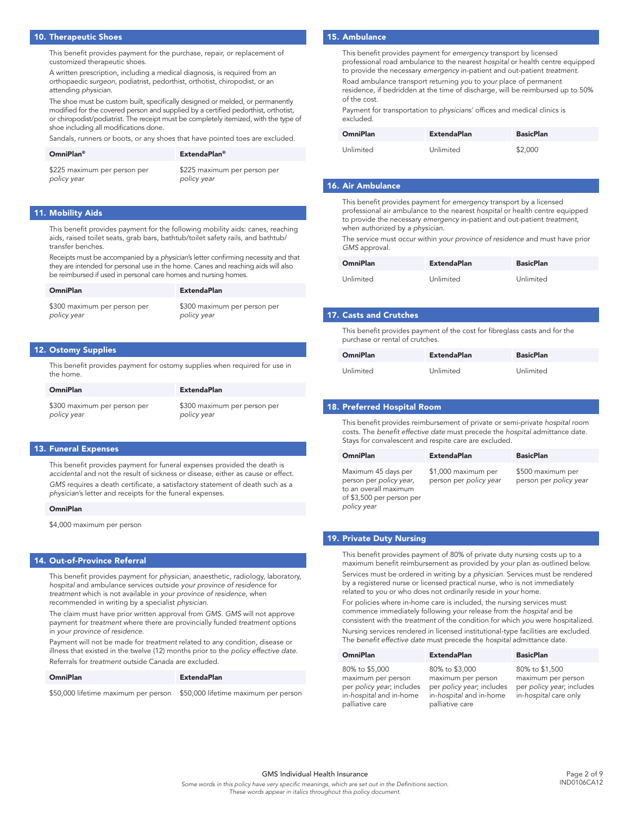#### 10. Therapeutic Shoes

This benefit provides payment for the purchase, repair, or replacement of customized therapeutic shoes.

A written prescription, including a medical diagnosis, is required from an orthopaedic *surgeon*, podiatrist, pedorthist, orthotist, chiropodist, or an attending *physician*.

The shoe must be custom built, specifically designed or melded, or permanently modified for the covered person and supplied by a certified pedorthist, orthotist, or chiropodist/podiatrist. The receipt must be completely itemized, with the type of shoe including all modifications done.

Sandals, runners or boots, or any shoes that have pointed toes are excluded.

| <b>OmniPlan</b> <sup>®</sup> | <b>ExtendaPlan</b> ®         |
|------------------------------|------------------------------|
| \$225 maximum per person per | \$225 maximum per person per |
| policy year                  | policy year                  |

#### 11. Mobility Aids

This benefit provides payment for the following mobility aids: canes, reaching aids, raised toilet seats, grab bars, bathtub/toilet safety rails, and bathtub/ transfer benches.

Receipts must be accompanied by a *physician*'s letter confirming necessity and that they are intended for personal use in the home. Canes and reaching aids will also be reimbursed if used in personal care homes and nursing homes.

| <b>OmniPlan</b>              | <b>ExtendaPlan</b>           |
|------------------------------|------------------------------|
| \$300 maximum per person per | \$300 maximum per person per |
| policy year                  | policy year                  |

#### 12. Ostomy Supplies

This benefit provides payment for ostomy supplies when required for use in the home.

| <b>OmniPlan</b>              | <b>ExtendaPlan</b>           |
|------------------------------|------------------------------|
| \$300 maximum per person per | \$300 maximum per person per |
| policy year                  | policy year                  |

#### 13. Funeral Expenses

This benefit provides payment for funeral expenses provided the death is *accidental* and not the result of sickness or disease, either as cause or effect. *GMS* requires a death certificate, a satisfactory statement of death such as a *physician*'s letter and receipts for the funeral expenses.

#### OmniPlan

\$4,000 maximum per person

#### 14. Out-of-Province Referral

This benefit provides payment for *physician*, anaesthetic, radiology, laboratory, *hospital* and ambulance services outside *your province of residence* for *treatment* which is not available in *your province of residence*, when recommended in writing by a specialist *physician*.

The claim must have prior written approval from *GMS*. *GMS* will not approve payment for *treatment* where there are provincially funded *treatment* options in *your province of residence*.

Payment will not be made for *treatment* related to any condition, disease or illness that existed in the twelve (12) months prior to the *policy effective date*. Referrals for *treatment* outside Canada are excluded.

#### OmniPlan ExtendaPlan

\$50,000 lifetime maximum per person \$50,000 lifetime maximum per person

### 15. Ambulance

This benefit provides payment for *emergency* transport by licensed professional road ambulance to the nearest *hospital* or health centre equipped to provide the necessary *emergency* in-patient and out-patient *treatment*.

Road ambulance transport returning *you* to *your* place of permanent residence, if bedridden at the time of discharge, will be reimbursed up to 50% of the cost.

Payment for transportation to *physician*s' offices and medical clinics is excluded.

| <b>OmniPlan</b> | <b>ExtendaPlan</b> | <b>BasicPlan</b> |
|-----------------|--------------------|------------------|
| Unlimited       | Unlimited          | \$2,000          |

#### 16. Air Ambulance

This benefit provides payment for *emergency* transport by a licensed professional air ambulance to the nearest *hospital* or health centre equipped to provide the necessary *emergency* in-patient and out-patient *treatment*, when authorized by a *physician*.

The service must occur within *your province of residence* and must have prior *GMS* approval.

| <b>OmniPlan</b> | <b>ExtendaPlan</b> | <b>BasicPlan</b> |
|-----------------|--------------------|------------------|
| Unlimited       | Unlimited          | Unlimited        |

#### 17. Casts and Crutches

This benefit provides payment of the cost for fibreglass casts and for the purchase or rental of crutches.

| <b>OmniPlan</b> | <b>ExtendaPlan</b> | <b>BasicPlan</b> |
|-----------------|--------------------|------------------|
| Unlimited       | Unlimited          | Unlimited        |

#### 18. Preferred Hospital Room

This benefit provides reimbursement of private or semi-private *hospital* room costs. The *benefit effective date* must precede the *hospital* admittance date. Stays for convalescent and respite care are excluded.

| <b>OmniPlan</b>                                                                                                     | <b>ExtendaPlan</b>                            | <b>BasicPlan</b>                            |
|---------------------------------------------------------------------------------------------------------------------|-----------------------------------------------|---------------------------------------------|
| Maximum 45 days per<br>person per policy year,<br>to an overall maximum<br>of \$3,500 per person per<br>policy year | \$1,000 maximum per<br>person per policy year | \$500 maximum per<br>person per policy year |

#### 19. Private Duty Nursing

This benefit provides payment of 80% of private duty nursing costs up to a maximum benefit reimbursement as provided by *your* plan as outlined below. Services must be ordered in writing by a *physician*. Services must be rendered by a registered nurse or licensed practical nurse, who is not immediately related to *you* or who does not ordinarily reside in *your* home.

For policies where in-home care is included, the nursing services must commence immediately following *your* release from the *hospital* and be consistent with the *treatment* of the condition for which *you* were hospitalized. Nursing services rendered in licensed institutional-type facilities are excluded. The *benefit effective date* must precede the *hospital* admittance date.

| <b>OmniPlan</b>                                                            | <b>ExtendaPlan</b>                                                         | <b>BasicPlan</b>                                                         |
|----------------------------------------------------------------------------|----------------------------------------------------------------------------|--------------------------------------------------------------------------|
| 80% to \$5,000                                                             | 80% to \$3,000                                                             | 80% to \$1,500                                                           |
| maximum per person<br>per policy year; includes<br>in-hospital and in-home | maximum per person<br>per policy year; includes<br>in-hospital and in-home | maximum per person<br>per policy year; includes<br>in-hospital care only |
| palliative care                                                            | palliative care                                                            |                                                                          |

GMS Individual Health Insurance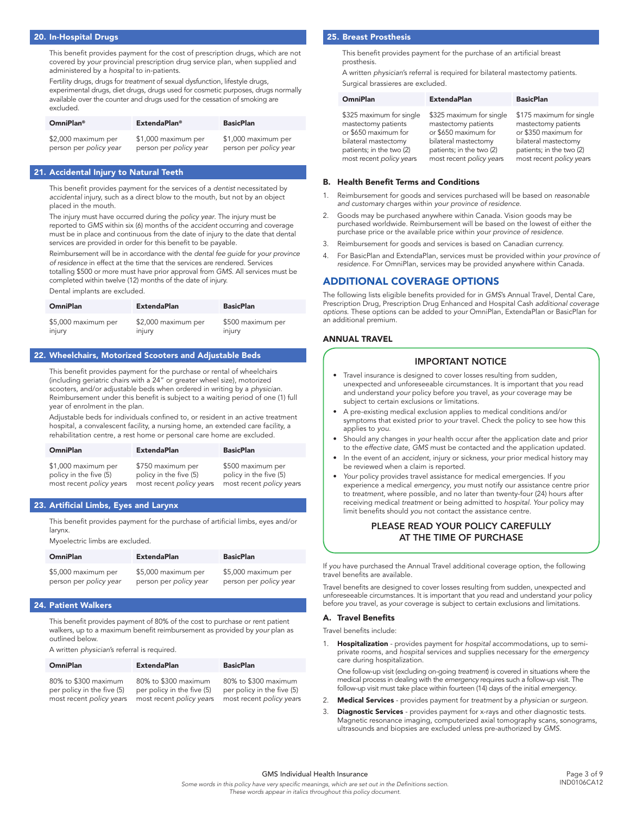#### 20. In-Hospital Drugs

This benefit provides payment for the cost of prescription drugs, which are not covered by *your* provincial prescription drug service plan, when supplied and administered by a *hospital* to in-patients.

Fertility drugs, drugs for *treatment* of sexual dysfunction, lifestyle drugs, experimental drugs, diet drugs, drugs used for cosmetic purposes, drugs normally available over the counter and drugs used for the cessation of smoking are excluded.

| <b>OmniPlan<sup>®</sup></b> | <b>ExtendaPlan®</b>    | <b>BasicPlan</b>       |
|-----------------------------|------------------------|------------------------|
| \$2,000 maximum per         | \$1,000 maximum per    | \$1,000 maximum per    |
| person per policy year      | person per policy year | person per policy year |

#### 21. Accidental Injury to Natural Teeth

This benefit provides payment for the services of a *dentist* necessitated by *accidental* injury, such as a direct blow to the mouth, but not by an object placed in the mouth.

The injury must have occurred during the *policy year*. The injury must be reported to *GMS* within six (6) months of the *accident* occurring and coverage must be in place and continuous from the date of injury to the date that dental services are provided in order for this benefit to be payable.

Reimbursement will be in accordance with the *dental fee guide* for *your province of residence* in effect at the time that the services are rendered. Services totalling \$500 or more must have prior approval from *GMS*. All services must be completed within twelve (12) months of the date of injury.

Dental implants are excluded.

| <b>OmniPlan</b>     | <b>ExtendaPlan</b>  | <b>BasicPlan</b>  |
|---------------------|---------------------|-------------------|
| \$5,000 maximum per | \$2,000 maximum per | \$500 maximum per |
| injury              | injury              | injury            |

#### 22. Wheelchairs, Motorized Scooters and Adjustable Beds

This benefit provides payment for the purchase or rental of wheelchairs (including geriatric chairs with a 24" or greater wheel size), motorized scooters, and/or adjustable beds when ordered in writing by a *physician*. Reimbursement under this benefit is subject to a waiting period of one (1) full year of enrolment in the plan.

Adjustable beds for individuals confined to, or resident in an active treatment hospital, a convalescent facility, a nursing home, an extended care facility, a rehabilitation centre, a rest home or personal care home are excluded.

| <b>OmniPlan</b>          | <b>ExtendaPlan</b>       | <b>BasicPlan</b>         |
|--------------------------|--------------------------|--------------------------|
| \$1,000 maximum per      | \$750 maximum per        | \$500 maximum per        |
| policy in the five (5)   | policy in the five (5)   | policy in the five (5)   |
| most recent policy years | most recent policy years | most recent policy years |

### 23. Artificial Limbs, Eyes and Larynx

This benefit provides payment for the purchase of artificial limbs, eyes and/or larynx.

Myoelectric limbs are excluded.

| <b>OmniPlan</b>        | <b>ExtendaPlan</b>     | <b>BasicPlan</b>       |
|------------------------|------------------------|------------------------|
| \$5,000 maximum per    | \$5,000 maximum per    | \$5,000 maximum per    |
| person per policy year | person per policy year | person per policy year |

#### 24. Patient Walkers

This benefit provides payment of 80% of the cost to purchase or rent patient walkers, up to a maximum benefit reimbursement as provided by *your* plan as outlined below.

A written *physician*'s referral is required.

| <b>OmniPlan</b>                                                                | <b>ExtendaPlan</b>                                                             | <b>BasicPlan</b>                                                               |
|--------------------------------------------------------------------------------|--------------------------------------------------------------------------------|--------------------------------------------------------------------------------|
| 80% to \$300 maximum<br>per policy in the five (5)<br>most recent policy years | 80% to \$300 maximum<br>per policy in the five (5)<br>most recent policy years | 80% to \$300 maximum<br>per policy in the five (5)<br>most recent policy years |

#### 25. Breast Prosthesis

This benefit provides payment for the purchase of an artificial breast prosthesis.

A written *physician*'s referral is required for bilateral mastectomy patients. Surgical brassieres are excluded.

| <b>OmniPlan</b>          | <b>ExtendaPlan</b>       | <b>BasicPlan</b>         |
|--------------------------|--------------------------|--------------------------|
| \$325 maximum for single | \$325 maximum for single | \$175 maximum for single |
| mastectomy patients      | mastectomy patients      | mastectomy patients      |
| or \$650 maximum for     | or \$650 maximum for     | or \$350 maximum for     |
| bilateral mastectomy     | bilateral mastectomy     | bilateral mastectomy     |
| patients; in the two (2) | patients; in the two (2) | patients; in the two (2) |
| most recent policy years | most recent policy years | most recent policy years |

#### B. Health Benefit Terms and Conditions

- 1. Reimbursement for goods and services purchased will be based on *reasonable and customary* charges within *your province of residence*.
- 2. Goods may be purchased anywhere within Canada. Vision goods may be purchased worldwide. Reimbursement will be based on the lowest of either the purchase price or the available price within *your province of residence*.
- 3. Reimbursement for goods and services is based on Canadian currency.
- 4. For BasicPlan and ExtendaPlan, services must be provided within *your province of*  residence. For OmniPlan, services may be provided anywhere within Canada.

#### ADDITIONAL COVERAGE OPTIONS

The following lists eligible benefits provided for in *GMS*'s Annual Travel, Dental Care, Prescription Drug, Prescription Drug Enhanced and Hospital Cash *additional coverage options*. These options can be added to *your* OmniPlan, ExtendaPlan or BasicPlan for an additional premium.

#### ANNUAL TRAVEL

#### IMPORTANT NOTICE

- Travel insurance is designed to cover losses resulting from sudden, unexpected and unforeseeable circumstances. It is important that *you* read and understand *your* policy before *you* travel, as *your* coverage may be subject to certain exclusions or limitations.
- A pre-existing medical exclusion applies to medical conditions and/or symptoms that existed prior to *your* travel. Check the policy to see how this applies to *you*.
- Should any changes in *your* health occur after the application date and prior to the *effective date*, *GMS* must be contacted and the application updated.
- In the event of an *accident*, injury or sickness, your prior medical history may be reviewed when a claim is reported.
- Your policy provides travel assistance for medical emergencies. If you experience a medical *emergency*, *you* must notify our assistance centre prior to *treatment*, where possible, and no later than twenty-four (24) hours after receiving medical *treatment* or being admitted to *hospital*. *Your* policy may limit benefits should *you* not contact the assistance centre.

### PLEASE READ YOUR POLICY CAREFULLY AT THE TIME OF PURCHASE

If *you* have purchased the Annual Travel additional coverage option, the following travel benefits are available.

Travel benefits are designed to cover losses resulting from sudden, unexpected and unforeseeable circumstances. It is important that *you* read and understand *your* policy before *you* travel, as *your* coverage is subject to certain exclusions and limitations.

#### A. Travel Benefits

Travel benefits include:

1. Hospitalization - provides payment for *hospital* accommodations, up to semiprivate rooms, and *hospital* services and supplies necessary for the *emergency* care during hospitalization.

One follow-up visit (excluding on-going *treatment*) is covered in situations where the medical process in dealing with the *emergency* requires such a follow-up visit. The follow-up visit must take place within fourteen (14) days of the initial *emergency*.

- 2. Medical Services provides payment for *treatment* by a *physician* or *surgeon*.
- 3. Diagnostic Services provides payment for x-rays and other diagnostic tests. Magnetic resonance imaging, computerized axial tomography scans, sonograms, ultrasounds and biopsies are excluded unless pre-authorized by *GMS*.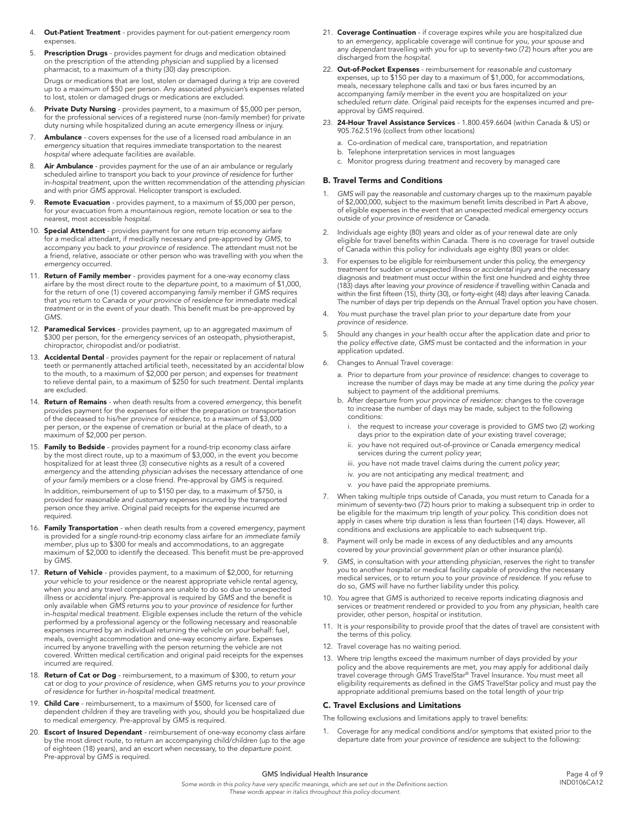- 4. Out-Patient Treatment provides payment for out-patient *emergency* room expenses.
- 5. Prescription Drugs provides payment for drugs and medication obtained on the prescription of the attending *physician* and supplied by a licensed pharmacist, to a maximum of a thirty (30) day prescription.

Drugs or medications that are lost, stolen or damaged during a trip are covered up to a maximum of \$50 per person. Any associated *physician*'s expenses related to lost, stolen or damaged drugs or medications are excluded.

- 6. Private Duty Nursing provides payment, to a maximum of \$5,000 per person, for the professional services of a registered nurse (non-*family* member) for private duty nursing while hospitalized during an acute *emergency* illness or injury.
- 7. **Ambulance** covers expenses for the use of a licensed road ambulance in an *emergency* situation that requires immediate transportation to the nearest *hospital* where adequate facilities are available.
- Air Ambulance provides payment for the use of an air ambulance or regularly scheduled airline to transport *you* back to *your province of residence* for further in-*hospital treatment*, upon the written recommendation of the attending *physician* and with prior *GMS* approval. Helicopter transport is excluded.
- 9. Remote Evacuation provides payment, to a maximum of \$5,000 per person, for *your* evacuation from a mountainous region, remote location or sea to the nearest, most accessible *hospital*.
- 10. Special Attendant provides payment for one return trip economy airfare for a medical attendant, if medically necessary and pre-approved by *GMS*, to accompany *you* back to *your province of residence*. The attendant must not be a friend, relative, associate or other person who was travelling with *you* when the *emergency* occurred.
- 11. Return of Family member provides payment for a one-way economy class airfare by the most direct route to the *departure point*, to a maximum of \$1,000, for the return of one (1) covered accompanying *family* member if *GMS* requires that *you* return to Canada or *your province of residence* for immediate medical *treatment* or in the event of *your* death. This benefit must be pre-approved by *GMS*.
- 12. Paramedical Services provides payment, up to an aggregated maximum of \$300 per person, for the *emergency* services of an osteopath, physiotherapist, chiropractor, chiropodist and/or podiatrist.
- 13. Accidental Dental provides payment for the repair or replacement of natural teeth or permanently attached artificial teeth, necessitated by an *accidental* blow to the mouth, to a maximum of \$2,000 per person; and expenses for *treatment* to relieve dental pain, to a maximum of \$250 for such *treatment*. Dental implants are excluded.
- 14. Return of Remains when death results from a covered *emergency*, this benefit provides payment for the expenses for either the preparation or transportation of the deceased to his/her *province of residence*, to a maximum of \$3,000 per person, or the expense of cremation or burial at the place of death, to a maximum of \$2,000 per person.
- 15. Family to Bedside provides payment for a round-trip economy class airfare by the most direct route, up to a maximum of \$3,000, in the event *you* become hospitalized for at least three (3) consecutive nights as a result of a covered *emergency* and the attending *physician* advises the necessary attendance of one of *your family* members or a close friend. Pre-approval by *GMS* is required.

In addition, reimbursement of up to \$150 per day, to a maximum of \$750, is provided for *reasonable and customary* expenses incurred by the transported person once they arrive. Original paid receipts for the expense incurred are required.

- 16. Family Transportation when death results from a covered *emergency*, payment is provided for a *single* round-trip economy class airfare for an *immediate family member*, plus up to \$300 for meals and accommodations, to an aggregate maximum of \$2,000 to identify the deceased. This benefit must be pre-approved by *GMS*.
- 17. Return of Vehicle provides payment, to a maximum of \$2,000, for returning *your* vehicle to *your* residence or the nearest appropriate vehicle rental agency, when *you* and any travel companions are unable to do so due to unexpected illness or *accidental* injury. Pre-approval is required by *GMS* and the benefit is only available when *GMS* returns *you* to *your province of residence* for further in-*hospital* medical *treatment*. Eligible expenses include the return of the vehicle performed by a professional agency or the following necessary and reasonable expenses incurred by an individual returning the vehicle on *your* behalf: fuel, meals, overnight accommodation and one-way economy airfare. Expenses incurred by anyone travelling with the person returning the vehicle are not covered. Written medical certification and original paid receipts for the expenses incurred are required.
- 18. Return of Cat or Dog reimbursement, to a maximum of \$300, to return *your* cat or dog to *your province of residence*, when *GMS* returns *you* to *your province of residence* for further in-*hospital* medical *treatment*.
- 19. Child Care reimbursement, to a maximum of \$500, for licensed care of dependent children if they are traveling with *you*, should *you* be hospitalized due to medical *emergency*. Pre-approval by *GMS* is required.
- 20. Escort of Insured Dependant reimbursement of one-way economy class airfare by the most direct route, to return an accompanying child/children (up to the age of eighteen (18) years), and an escort when necessary, to the *departure point*. Pre-approval by *GMS* is required.
- 21. Coverage Continuation if coverage expires while *you* are hospitalized due to an *emergency*, applicable coverage will continue for *you*, *your spouse* and any *dependant* travelling with *you* for up to seventy-two (72) hours after *you* are discharged from the *hospital*.
- 22. Out-of-Pocket Expenses reimbursement for *reasonable and customary* expenses, up to \$150 per day to a maximum of \$1,000, for accommodations, meals, necessary telephone calls and taxi or bus fares incurred by an accompanying *family* member in the event *you* are hospitalized on *your* scheduled *return date*. Original paid receipts for the expenses incurred and preapproval by *GMS* required.
- 23. 24-Hour Travel Assistance Services 1.800.459.6604 (within Canada & US) or 905.762.5196 (collect from other locations)
	- a. Co-ordination of medical care, transportation, and repatriation
	- b. Telephone interpretation services in most languages
	- c. Monitor progress during *treatment* and recovery by managed care

## B. Travel Terms and Conditions

- 1. *GMS* will pay the *reasonable and customary* charges up to the maximum payable of \$2,000,000, subject to the maximum benefit limits described in Part A above, of eligible expenses in the event that an unexpected medical *emergency* occurs outside of *your province of residence* or Canada.
- 2. Individuals age eighty (80) years and older as of *your* renewal date are only eligible for travel benefits within Canada. There is no coverage for travel outside of Canada within this policy for individuals age eighty (80) years or older.
- 3. For expenses to be eligible for reimbursement under this policy, the *emergency treatment* for sudden or unexpected illness or *accidental* injury and the necessary diagnosis and *treatment* must occur within the first one hundred and eighty three (183) days after leaving *your province of residence* if travelling within Canada and within the first fifteen (15), thirty (30), or forty-eight (48) days after leaving Canada. The number of days per trip depends on the Annual Travel option *you* have chosen.
- 4. *You* must purchase the travel plan prior to *your* departure date from *your province of residence*.
- 5. Should any changes in *your* health occur after the application date and prior to the *policy effective date*, *GMS* must be contacted and the information in *your* application updated.
- 6. Changes to Annual Travel coverage:
	- a. Prior to departure from *your province of residence*: changes to coverage to increase the number of days may be made at any time during the *policy year* subject to payment of the additional premiums.
	- b. After departure from *your province of residence*: changes to the coverage to increase the number of days may be made, subject to the following conditions:
		- i. the request to increase *your* coverage is provided to *GMS* two (2) working days prior to the expiration date of *your* existing travel coverage;
		- you have not required out-of-province or Canada *emergency* medical services during the current *policy year*;
		- iii. *you* have not made travel claims during the current *policy year*;
		- iv. *you* are not anticipating any medical *treatment*; and
		- v. *you* have paid the appropriate premiums.
- 7. When taking multiple trips outside of Canada, *you* must return to Canada for a minimum of seventy-two (72) hours prior to making a subsequent trip in order to be eligible for the maximum trip length of *your* policy. This condition does not apply in cases where trip duration is less than fourteen (14) days. However, all conditions and exclusions are applicable to each subsequent trip.
- 8. Payment will only be made in excess of any deductibles and any amounts covered by *your* provincial *government plan* or other insurance plan(s).
- 9. *GMS*, in consultation with *your* attending *physician*, reserves the right to transfer *you* to another *hospital* or medical facility capable of providing the necessary medical services, or to return *you* to *your province of residence*. If *you* refuse to do so, *GMS* will have no further liability under this policy.
- 10. *You* agree that *GMS* is authorized to receive reports indicating diagnosis and services or *treatment* rendered or provided to *you* from any *physician*, health care provider, other person, *hospital* or institution.
- 11. It is *your* responsibility to provide proof that the dates of travel are consistent with the terms of this policy.
- 12. Travel coverage has no waiting period.
- 13. Where trip lengths exceed the maximum number of days provided by *your* policy and the above requirements are met, *you* may apply for additional daily travel coverage through *GMS* TravelStar® Travel Insurance. *You* must meet all eligibility requirements as defined in the *GMS* TravelStar policy and must pay the appropriate additional premiums based on the total length of *your* trip

#### C. Travel Exclusions and Limitations

The following exclusions and limitations apply to travel benefits:

Coverage for any medical conditions and/or symptoms that existed prior to the departure date from *your province of residence* are subject to the following: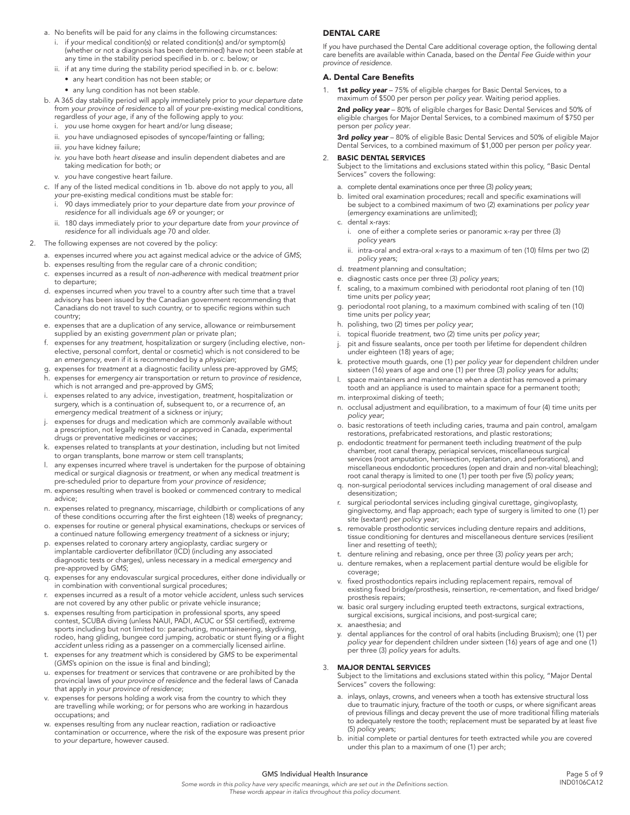- a. No benefits will be paid for any claims in the following circumstances:
	- if your medical condition(s) or related condition(s) and/or symptom(s) (whether or not a diagnosis has been determined) have not been *stable* at any time in the stability period specified in b. or c. below; or
	- ii. if at any time during the stability period specified in b. or c. below:
		- • any heart condition has not been *stable*; or
		- • any lung condition has not been *stable*.
- b. A 365 day stability period will apply immediately prior to *your departure date* from *your province of residence* to all of *your* pre-existing medical conditions, regardless of *your* age, if any of the following apply to *you*:
	- i. *you* use home oxygen for heart and/or lung disease;
	- ii. *you* have undiagnosed episodes of syncope/fainting or falling;
	- iii. *you* have kidney failure;
	- iv. *you* have both *heart disease* and insulin dependent diabetes and are taking medication for both; or
	- v. *you* have congestive heart failure.
- c. If any of the listed medical conditions in 1b. above do not apply to *you*, all *your* pre-existing medical conditions must be *stable* for:
	- i. 90 days immediately prior to *your* departure date from *your province of residence* for all individuals age 69 or younger; or
	- ii. 180 days immediately prior to *your* departure date from *your province of residence* for all individuals age 70 and older.
- 2. The following expenses are not covered by the policy:
	- a. expenses incurred where *you* act against medical advice or the advice of *GMS*;
	- b. expenses resulting from the regular care of a chronic condition;
	- c. expenses incurred as a result of *non-adherence* with medical *treatment* prior to departure;
	- d. expenses incurred when *you* travel to a country after such time that a travel advisory has been issued by the Canadian government recommending that Canadians do not travel to such country, or to specific regions within such country;
	- e. expenses that are a duplication of any service, allowance or reimbursement supplied by an existing *government plan* or private plan;
	- f. expenses for any *treatment*, hospitalization or surgery (including elective, nonelective, personal comfort, dental or cosmetic) which is not considered to be an *emergency*, even if it is recommended by a *physician*;
	- g. expenses for *treatment* at a diagnostic facility unless pre-approved by *GMS*; h. expenses for *emergency* air transportation or return to *province of residence*,
	- which is not arranged and pre-approved by *GMS*; i. expenses related to any advice, investigation, *treatment*, hospitalization or surgery, which is a continuation of, subsequent to, or a recurrence of, an *emergency* medical *treatment* of a sickness or injury;
	- expenses for drugs and medication which are commonly available without a prescription, not legally registered or approved in Canada, experimental drugs or preventative medicines or vaccines;
	- k. expenses related to transplants at *your* destination, including but not limited to organ transplants, bone marrow or stem cell transplants;
	- l. any expenses incurred where travel is undertaken for the purpose of obtaining medical or surgical diagnosis or *treatment*, or when any medical *treatment* is pre-scheduled prior to departure from *your province of residence*;
	- m. expenses resulting when travel is booked or commenced contrary to medical advice;
	- n. expenses related to pregnancy, miscarriage, childbirth or complications of any of these conditions occurring after the first eighteen (18) weeks of pregnancy;
	- o. expenses for routine or general physical examinations, checkups or services of a continued nature following *emergency treatment* of a sickness or injury;
	- p. expenses related to coronary artery angioplasty, cardiac surgery or implantable cardioverter defibrillator (ICD) (including any associated diagnostic tests or charges), unless necessary in a medical *emergency* and pre-approved by *GMS*;
	- q. expenses for any endovascular surgical procedures, either done individually or in combination with conventional surgical procedures;
	- r. expenses incurred as a result of a motor vehicle *accident*, unless such services are not covered by any other public or private vehicle insurance;
	- s. expenses resulting from participation in professional sports, any speed contest, SCUBA diving (unless NAUI, PADI, ACUC or SSI certified), extreme sports including but not limited to: parachuting, mountaineering, skydiving, rodeo, hang gliding, bungee cord jumping, acrobatic or stunt flying or a flight *accident* unless riding as a passenger on a commercially licensed airline.
	- t. expenses for any *treatment* which is considered by *GMS* to be experimental (*GMS*'s opinion on the issue is final and binding);
	- u. expenses for *treatment* or services that contravene or are prohibited by the provincial laws of *your province of residence* and the federal laws of Canada that apply in *your province of residence*;
	- v. expenses for persons holding a work visa from the country to which they are travelling while working; or for persons who are working in hazardous occupations; and
	- w. expenses resulting from any nuclear reaction, radiation or radioactive contamination or occurrence, where the risk of the exposure was present prior to *your* departure, however caused.

#### DENTAL CARE

If *you* have purchased the Dental Care additional coverage option, the following dental care benefits are available within Canada, based on the *Dental Fee Guide* within *your province of residence*.

#### A. Dental Care Benefits

1. 1st *policy year* – 75% of eligible charges for Basic Dental Services, to a maximum of \$500 per person per *policy year*. Waiting period applies.

2nd *policy year* – 80% of eligible charges for Basic Dental Services and 50% of eligible charges for Major Dental Services, to a combined maximum of \$750 per person per *policy year*.

3rd *policy year* – 80% of eligible Basic Dental Services and 50% of eligible Major Dental Services, to a combined maximum of \$1,000 per person per *policy year*.

#### 2. BASIC DENTAL SERVICES

Subject to the limitations and exclusions stated within this policy, "Basic Dental Services" covers the following:

- a. complete dental examinations once per three (3) *policy year*s;
- b. limited oral examination procedures; recall and specific examinations will be subject to a combined maximum of two (2) examinations per *policy year* (*emergency* examinations are unlimited);
- c. dental x-rays:
	- i. one of either a complete series or panoramic x-ray per three (3) *policy year*s
	- ii. intra-oral and extra-oral x-rays to a maximum of ten (10) films per two (2) *policy year*s;
- d. *treatment* planning and consultation;
- e. diagnostic casts once per three (3) *policy year*s;
- scaling, to a maximum combined with periodontal root planing of ten (10) time units per *policy year*;
- g. periodontal root planing, to a maximum combined with scaling of ten (10) time units per *policy year*;
- h. polishing, two (2) times per *policy year*;
- i. topical fluoride *treatment*, two (2) time units per *policy year*;
- pit and fissure sealants, once per tooth per lifetime for dependent children under eighteen (18) years of age;
- k. protective mouth guards, one (1) per *policy year* for dependent children under sixteen (16) years of age and one (1) per three (3) *policy year*s for adults;
- l. space maintainers and maintenance when a *dentist* has removed a primary tooth and an appliance is used to maintain space for a permanent tooth;
- m. interproximal disking of teeth;
- n. occlusal adjustment and equilibration, to a maximum of four (4) time units per *policy year*;
- o. basic restorations of teeth including caries, trauma and pain control, amalgam restorations, prefabricated restorations, and plastic restorations;
- p. endodontic *treatment* for permanent teeth including *treatment* of the pulp chamber, root canal therapy, periapical services, miscellaneous surgical services (root amputation, hemisection, replantation, and perforations), and miscellaneous endodontic procedures (open and drain and non-vital bleaching); root canal therapy is limited to one (1) per tooth per five (5) *policy year*s;
- q. non-surgical periodontal services including management of oral disease and desensitization;
- r. surgical periodontal services including gingival curettage, gingivoplasty, gingivectomy, and flap approach; each type of surgery is limited to one (1) per site (sextant) per *policy year*;
- s. removable prosthodontic services including denture repairs and additions, tissue conditioning for dentures and miscellaneous denture services (resilient liner and resetting of teeth);
- t. denture relining and rebasing, once per three (3) *policy year*s per arch;
- u. denture remakes, when a replacement partial denture would be eligible for coverage;
- v. fixed prosthodontics repairs including replacement repairs, removal of existing fixed bridge/prosthesis, reinsertion, re-cementation, and fixed bridge/ prosthesis repairs;
- w. basic oral surgery including erupted teeth extractons, surgical extractions, surgical excisions, surgical incisions, and post-surgical care;
- x. anaesthesia; and
- y. dental appliances for the control of oral habits (including Bruxism); one (1) per *policy year* for dependent children under sixteen (16) years of age and one (1) per three (3) *policy year*s for adults.

#### 3. MAJOR DENTAL SERVICES

Subject to the limitations and exclusions stated within this policy, "Major Dental Services" covers the following:

- a. inlays, onlays, crowns, and veneers when a tooth has extensive structural loss due to traumatic injury, fracture of the tooth or cusps, or where significant areas of previous fillings and decay prevent the use of more traditional filling materials to adequately restore the tooth; replacement must be separated by at least five (5) *policy year*s;
- b. initial complete or partial dentures for teeth extracted while *you* are covered under this plan to a maximum of one (1) per arch;

#### GMS Individual Health Insurance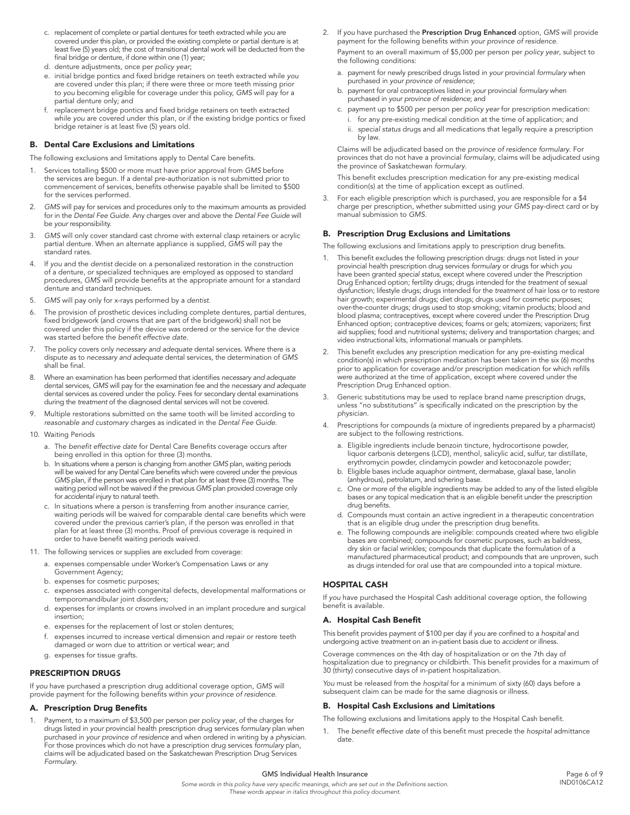- c. replacement of complete or partial dentures for teeth extracted while *you* are covered under this plan, or provided the existing complete or partial denture is at least five (5) years old; the cost of transitional dental work will be deducted from the final bridge or denture, if done within one (1) year;
- d. denture adjustments, once per *policy year*;
- e. initial bridge pontics and fixed bridge retainers on teeth extracted while *you* are covered under this plan; if there were three or more teeth missing prior to *you* becoming eligible for coverage under this policy, *GMS* will pay for a partial denture only; and
- f. replacement bridge pontics and fixed bridge retainers on teeth extracted while *you* are covered under this plan, or if the existing bridge pontics or fixed bridge retainer is at least five (5) years old.

#### B. Dental Care Exclusions and Limitations

The following exclusions and limitations apply to Dental Care benefits.

- 1. Services totalling \$500 or more must have prior approval from *GMS* before the services are begun. If a dental pre-authorization is not submitted prior to commencement of services, benefits otherwise payable shall be limited to \$500 for the services performed.
- 2. *GMS* will pay for services and procedures only to the maximum amounts as provided for in the *Dental Fee Guide*. Any charges over and above the *Dental Fee Guide* will be *your* responsibility.
- 3. *GMS* will only cover standard cast chrome with external clasp retainers or acrylic partial denture. When an alternate appliance is supplied, *GMS* will pay the .<br>standard rates.
- 4. If *you* and the *dentist* decide on a personalized restoration in the construction of a denture, or specialized techniques are employed as opposed to standard procedures, *GMS* will provide benefits at the appropriate amount for a standard denture and standard techniques.
- 5. *GMS* will pay only for x-rays performed by a *dentist*.
- 6. The provision of prosthetic devices including complete dentures, partial dentures, fixed bridgework (and crowns that are part of the bridgework) shall not be covered under this policy if the device was ordered or the service for the device was started before the *benefit effective date*.
- 7. The policy covers only *necessary and adequate* dental services. Where there is a dispute as to *necessary and adequate* dental services, the determination of *GMS* shall be final.
- 8. Where an examination has been performed that identifies *necessary and adequate* dental services, *GMS* will pay for the examination fee and the *necessary and adequate* dental services as covered under the policy. Fees for secondary dental examinations during the *treatment* of the diagnosed dental services will not be covered.
- 9. Multiple restorations submitted on the same tooth will be limited according to *reasonable and customary* charges as indicated in the *Dental Fee Guide*.
- 10. Waiting Periods
	- a. The *benefit effective date* for Dental Care Benefits coverage occurs after being enrolled in this option for three (3) months.
	- b. In situations where a person is changing from another *GMS* plan, waiting periods will be waived for any Dental Care benefits which were covered under the previous *GMS* plan, if the person was enrolled in that plan for at least three (3) months. The waiting period will not be waived if the previous *GMS* plan provided coverage only for *accidental* injury to natural teeth.
	- c. In situations where a person is transferring from another insurance carrier, waiting periods will be waived for comparable dental care benefits which were covered under the previous carrier's plan, if the person was enrolled in that plan for at least three (3) months. Proof of previous coverage is required in order to have benefit waiting periods waived.
- 11. The following services or supplies are excluded from coverage:
	- a. expenses compensable under Worker's Compensation Laws or any Government Agency;
	- b. expenses for cosmetic purposes;
	- c. expenses associated with congenital defects, developmental malformations or temporomandibular joint disorders;
	- d. expenses for implants or crowns involved in an implant procedure and surgical insertion;
	- e. expenses for the replacement of lost or stolen dentures;
	- f. expenses incurred to increase vertical dimension and repair or restore teeth damaged or worn due to attrition or vertical wear; and
	- g. expenses for tissue grafts.

#### PRESCRIPTION DRUGS

If *you* have purchased a prescription drug additional coverage option, *GMS* will provide payment for the following benefits within *your province of residence*.

#### A. Prescription Drug Benefits

1. Payment, to a maximum of \$3,500 per person per *policy year*, of the charges for drugs listed in *your* provincial health prescription drug services *formulary* plan when purchased in *your province of residence* and when ordered in writing by a *physician*. For those provinces which do not have a prescription drug services *formulary* plan, claims will be adjudicated based on the Saskatchewan Prescription Drug Services *Formulary*.

2. If *you* have purchased the Prescription Drug Enhanced option, *GMS* will provide payment for the following benefits within *your province of residence*.

Payment to an overall maximum of \$5,000 per person per *policy year*, subject to the following conditions:

- a. payment for newly prescribed drugs listed in *your* provincial *formulary* when purchased in *your province of residence*;
- b. payment for oral contraceptives listed in *your* provincial *formulary* when purchased in *your province of residence*; and
- c. payment up to \$500 per person per *policy year* for prescription medication:
	- i. for any pre-existing medical condition at the time of application; and ii. *special status* drugs and all medications that legally require a prescription by law.

 Claims will be adjudicated based on the *province of residence formulary*. For provinces that do not have a provincial *formulary*, claims will be adjudicated using the province of Saskatchewan *formulary*.

 This benefit excludes prescription medication for any pre-existing medical condition(s) at the time of application except as outlined.

3. For each eligible prescription which is purchased, *you* are responsible for a \$4 charge per prescription, whether submitted using *your GMS* pay-direct card or by manual submission to *GMS*.

#### B. Prescription Drug Exclusions and Limitations

The following exclusions and limitations apply to prescription drug benefits.

- 1. This benefit excludes the following prescription drugs: drugs not listed in *your* provincial health prescription drug services *formulary* or drugs for which *you* have been granted *special status*, except where covered under the Prescription Drug Enhanced option; fertility drugs; drugs intended for the *treatment* of sexual dysfunction; lifestyle drugs; drugs intended for the *treatment* of hair loss or to restore hair growth; experimental drugs; diet drugs; drugs used for cosmetic purposes; over-the-counter drugs; drugs used to stop smoking; vitamin products; blood and blood plasma; contraceptives, except where covered under the Prescription Drug Enhanced option; contraceptive devices; foams or gels; atomizers; vaporizers; first aid supplies; food and nutritional systems; delivery and transportation charges; and video instructional kits, informational manuals or pamphlets.
- 2. This benefit excludes any prescription medication for any pre-existing medical condition(s) in which prescription medication has been taken in the six (6) months prior to application for coverage and/or prescription medication for which refills were authorized at the time of application, except where covered under the Prescription Drug Enhanced option.
- 3. Generic substitutions may be used to replace brand name prescription drugs, unless "no substitutions" is specifically indicated on the prescription by the *physician*.
- 4. Prescriptions for compounds (a mixture of ingredients prepared by a pharmacist) are subject to the following restrictions.
	- a. Eligible ingredients include benzoin tincture, hydrocortisone powder, liquor carbonis detergens (LCD), menthol, salicylic acid, sulfur, tar distillate, erythromycin powder, clindamycin powder and ketoconazole powder;
	- b. Eligible bases include aquaphor ointment, dermabase, glaxal base, lanolin (anhydrous), petrolatum, and schering base.
	- c. One or more of the eligible ingredients may be added to any of the listed eligible bases or any topical medication that is an eligible benefit under the prescription drug benefits.
	- d. Compounds must contain an active ingredient in a therapeutic concentration that is an eligible drug under the prescription drug benefits.
	- e. The following compounds are ineligible: compounds created where two eligible bases are combined; compounds for cosmetic purposes, such as baldness, dry skin or facial wrinkles; compounds that duplicate the formulation of a manufactured pharmaceutical product; and compounds that are unproven, such as drugs intended for oral use that are compounded into a topical mixture.

## HOSPITAL CASH

If *you* have purchased the Hospital Cash additional coverage option, the following benefit is available.

#### A. Hospital Cash Benefit

This benefit provides payment of \$100 per day if *you* are confined to a *hospital* and undergoing active *treatment* on an in-patient basis due to *accident* or illness.

Coverage commences on the 4th day of hospitalization or on the 7th day of hospitalization due to pregnancy or childbirth. This benefit provides for a maximum of 30 (thirty) consecutive days of in-patient hospitalization.

*You* must be released from the *hospital* for a minimum of sixty (60) days before a subsequent claim can be made for the same diagnosis or illness.

#### B. Hospital Cash Exclusions and Limitations

The following exclusions and limitations apply to the Hospital Cash benefit.

1. The *benefit effective date* of this benefit must precede the *hospital* admittance date.

#### GMS Individual Health Insurance *Some words in this policy have very specific meanings, which are set out in the Definitions section.*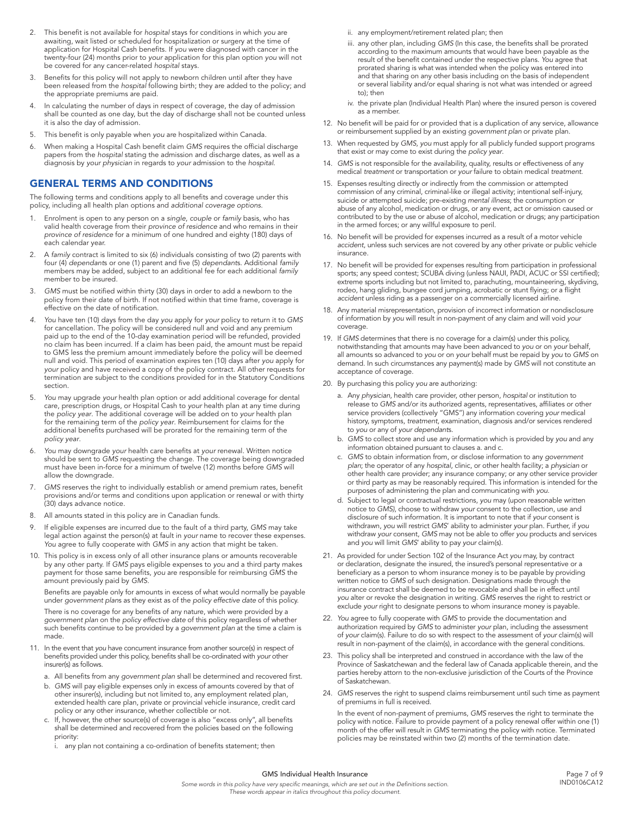- 2. This benefit is not available for *hospital* stays for conditions in which *you* are awaiting, wait listed or scheduled for hospitalization or surgery at the time of application for Hospital Cash benefits. If *you* were diagnosed with cancer in the twenty-four (24) months prior to *your* application for this plan option *you* will not be covered for any cancer-related *hospital* stays.
- 3. Benefits for this policy will not apply to newborn children until after they have been released from the *hospital* following birth; they are added to the policy; and the appropriate premiums are paid.
- 4. In calculating the number of days in respect of coverage, the day of admission shall be counted as one day, but the day of discharge shall not be counted unless it is also the day of admission.
- 5. This benefit is only payable when *you* are hospitalized within Canada.
- 6. When making a Hospital Cash benefit claim *GMS* requires the official discharge papers from the *hospital* stating the admission and discharge dates, as well as a diagnosis by *your physician* in regards to *your* admission to the *hospital*.

## GENERAL TERMS AND CONDITIONS

The following terms and conditions apply to all benefits and coverage under this policy, including all health plan options and *additional coverage options*.

- 1. Enrolment is open to any person on a *single*, *couple* or *family* basis, who has valid health coverage from their *province of residence* and who remains in their *province of residence* for a minimum of one hundred and eighty (180) days of each calendar year.
- 2. A *family* contract is limited to six (6) individuals consisting of two (2) parents with four (4) *dependant*s or one (1) parent and five (5) *dependant*s. Additional *family* members may be added, subject to an additional fee for each additional *family* member to be insured.
- 3. *GMS* must be notified within thirty (30) days in order to add a newborn to the policy from their date of birth. If not notified within that time frame, coverage is effective on the date of notification.
- *4. You* have ten (10) days from the day *you* apply for *your* policy to return it to *GMS* for cancellation. The policy will be considered null and void and any premium paid up to the end of the 10-day examination period will be refunded, provided no claim has been incurred. If a claim has been paid, the amount must be repaid to GMS less the premium amount immediately before the policy will be deemed null and void. This period of examination expires ten (10) days after *you* apply for *your* policy and have received a copy of the policy contract. All other requests for termination are subject to the conditions provided for in the Statutory Conditions section.
- 5. *You* may upgrade *your* health plan option or add additional coverage for dental care, prescription drugs, or Hospital Cash to *your* health plan at any time during the *policy year*. The additional coverage will be added on to *your* health plan for the remaining term of the *policy year*. Reimbursement for claims for the additional benefits purchased will be prorated for the remaining term of the *policy year*.
- 6. *You* may downgrade *your* health care benefits at *your* renewal. Written notice should be sent to *GMS* requesting the change. The coverage being downgraded must have been in-force for a minimum of twelve (12) months before *GMS* will allow the downgrade.
- 7. *GMS* reserves the right to individually establish or amend premium rates, benefit provisions and/or terms and conditions upon application or renewal or with thirty (30) days advance notice.
- 8. All amounts stated in this policy are in Canadian funds.
- 9. If eligible expenses are incurred due to the fault of a third party, *GMS* may take legal action against the person(s) at fault in *your* name to recover these expenses. *You* agree to fully cooperate with *GMS* in any action that might be taken.
- 10. This policy is in excess only of all other insurance plans or amounts recoverable by any other party. If *GMS* pays eligible expenses to *you* and a third party makes payment for those same benefits, *you* are responsible for reimbursing *GMS* the amount previously paid by *GMS*.

Benefits are payable only for amounts in excess of what would normally be payable under *government plan*s as they exist as of the *policy effective date* of this policy.

There is no coverage for any benefits of any nature, which were provided by a *government plan* on the *policy effective date* of this policy regardless of whether such benefits continue to be provided by a *government plan* at the time a claim is made.

- 11. In the event that *you* have concurrent insurance from another source(s) in respect of benefits provided under this policy, benefits shall be co-ordinated with *your* other insurer(s) as follows.
	- a. All benefits from any *government plan* shall be determined and recovered first.
	- b. *GMS* will pay eligible expenses only in excess of amounts covered by that of other insurer(s), including but not limited to, any employment related plan, extended health care plan, private or provincial vehicle insurance, credit card policy or any other insurance, whether collectible or not.
	- c. If, however, the other source(s) of coverage is also "excess only", all benefits shall be determined and recovered from the policies based on the following priority:
		- i. any plan not containing a co-ordination of benefits statement; then
- ii. any employment/retirement related plan; then
- iii. any other plan, including *GMS* (In this case, the benefits shall be prorated according to the maximum amounts that would have been payable as the result of the benefit contained under the respective plans. *You* agree that prorated sharing is what was intended when the policy was entered into and that sharing on any other basis including on the basis of independent or several liability and/or equal sharing is not what was intended or agreed to); then
- iv. the private plan (Individual Health Plan) where the insured person is covered as a member.
- 12. No benefit will be paid for or provided that is a duplication of any service, allowance or reimbursement supplied by an existing *government plan* or private plan.
- 13. When requested by *GMS*, *you* must apply for all publicly funded support programs that exist or may come to exist during the *policy year*.
- 14. *GMS* is not responsible for the availability, quality, results or effectiveness of any medical *treatment* or transportation or *your* failure to obtain medical *treatment*.
- 15. Expenses resulting directly or indirectly from the commission or attempted commission of any criminal, criminal-like or illegal activity; intentional self-injury, suicide or attempted suicide; pre-existing *mental illness*; the consumption or abuse of any alcohol, medication or drugs, or any event, act or omission caused or contributed to by the use or abuse of alcohol, medication or drugs; any participation in the armed forces; or any willful exposure to peril.
- 16. No benefit will be provided for expenses incurred as a result of a motor vehicle *accident*, unless such services are not covered by any other private or public vehicle insurance.
- 17. No benefit will be provided for expenses resulting from participation in professional sports; any speed contest; SCUBA diving (unless NAUI, PADI, ACUC or SSI certified); extreme sports including but not limited to, parachuting, mountaineering, skydiving, rodeo, hang gliding, bungee cord jumping, acrobatic or stunt flying; or a flight *accident* unless riding as a passenger on a commercially licensed airline.
- 18. Any material misrepresentation, provision of incorrect information or nondisclosure of information by *you* will result in non-payment of any claim and will void *your* coverage.
- 19. If *GMS* determines that there is no coverage for a claim(s) under this policy, notwithstanding that amounts may have been advanced to *you* or on *your* behalf, all amounts so advanced to *you* or on *your* behalf must be repaid by *you* to *GMS* on demand. In such circumstances any payment(s) made by *GMS* will not constitute an acceptance of coverage.
- 20. By purchasing this policy *you* are authorizing:
	- a. Any *physician*, health care provider, other person, *hospital* or institution to release to *GMS* and/or its authorized agents, representatives, affiliates or other service providers (collectively "GMS") any information covering *your* medical history, symptoms, *treatment*, examination, diagnosis and/or services rendered to *you* or any of *your dependant*s.
	- b. *GMS* to collect store and use any information which is provided by *you* and any information obtained pursuant to clauses a. and c.
	- c. *GMS* to obtain information from, or disclose information to any *government plan*; the operator of any *hospital*, clinic, or other health facility; a *physician* or other health care provider; any insurance company; or any other service provider or third party as may be reasonably required. This information is intended for the purposes of administering the plan and communicating with *you*.
	- d. Subject to legal or contractual restrictions, *you* may (upon reasonable written notice to *GMS)*, choose to withdraw *your* consent to the collection, use and disclosure of such information. It is important to note that if *your* consent is withdrawn, *you* will restrict *GMS*' ability to administer *your* plan. Further, if *you* withdraw *your* consent, *GMS* may not be able to offer *you* products and services and *you* will limit *GMS*' ability to pay *your* claim(s).
- 21. As provided for under Section 102 of the Insurance Act *you* may, by contract or declaration, designate the insured, the insured's personal representative or a beneficiary as a person to whom insurance money is to be payable by providing written notice to *GMS* of such designation. Designations made through the insurance contract shall be deemed to be revocable and shall be in effect until *you* alter or revoke the designation in writing. *GMS* reserves the right to restrict or exclude *your* right to designate persons to whom insurance money is payable.
- 22. *You* agree to fully cooperate with *GMS* to provide the documentation and authorization required by *GMS* to administer *your* plan, including the assessment of *your* claim(s). Failure to do so with respect to the assessment of *your* claim(s) will result in non-payment of the claim(s), in accordance with the general conditions.
- 23. This policy shall be interpreted and construed in accordance with the law of the Province of Saskatchewan and the federal law of Canada applicable therein, and the parties hereby attorn to the non-exclusive jurisdiction of the Courts of the Province of Saskatchewan.
- 24. *GMS* reserves the right to suspend claims reimbursement until such time as payment of premiums in full is received.

In the event of non-payment of premiums, *GMS* reserves the right to terminate the policy with notice. Failure to provide payment of a policy renewal offer within one (1) month of the offer will result in *GMS* terminating the policy with notice. Terminated policies may be reinstated within two (2) months of the termination date.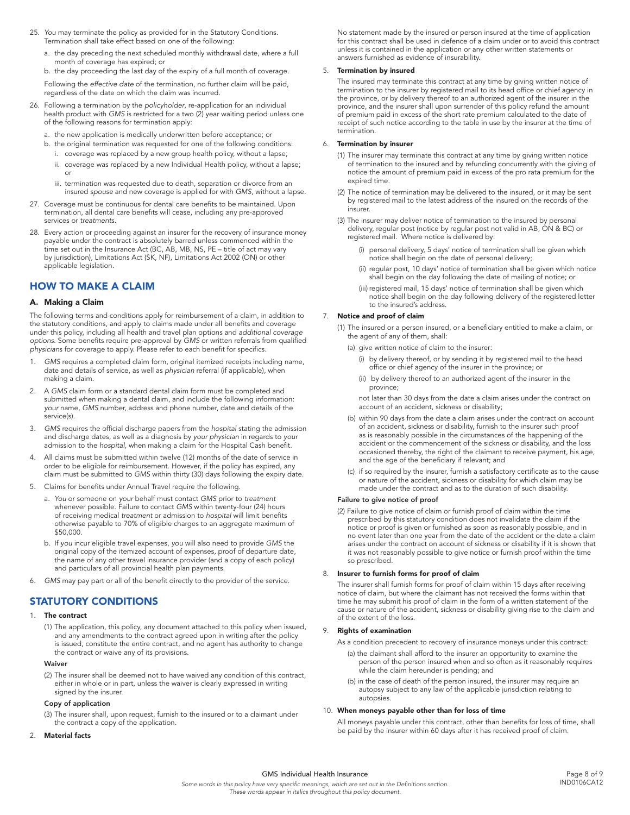- 25. *You* may terminate the policy as provided for in the Statutory Conditions. Termination shall take effect based on one of the following:
	- a. the day preceding the next scheduled monthly withdrawal date, where a full month of coverage has expired; or
	- b. the day proceeding the last day of the expiry of a full month of coverage.

 Following the *effective date* of the termination, no further claim will be paid, regardless of the date on which the claim was incurred.

- 26. Following a termination by the *policyholder*, re-application for an individual health product with *GMS* is restricted for a two (2) year waiting period unless one of the following reasons for termination apply:
	- a. the new application is medically underwritten before acceptance; or
	- b. the original termination was requested for one of the following conditions:
		- i. coverage was replaced by a new group health policy, without a lapse;
		- ii. coverage was replaced by a new Individual Health policy, without a lapse; or
		- iii. termination was requested due to death, separation or divorce from an insured *spouse* and new coverage is applied for with *GMS*, without a lapse.
- 27. Coverage must be continuous for dental care benefits to be maintained. Upon termination, all dental care benefits will cease, including any pre-approved services or *treatment*s.
- 28. Every action or proceeding against an insurer for the recovery of insurance money payable under the contract is absolutely barred unless commenced within the time set out in the Insurance Act (BC, AB, MB, NS, PE – title of act may vary by jurisdiction), Limitations Act (SK, NF), Limitations Act 2002 (ON) or other applicable legislation.

## HOW TO MAKE A CLAIM

#### A. Making a Claim

The following terms and conditions apply for reimbursement of a claim, in addition to the statutory conditions, and apply to claims made under all benefits and coverage under this policy, including all health and travel plan options and *additional coverage options*. Some benefits require pre-approval by *GMS* or written referrals from qualified *physician*s for coverage to apply. Please refer to each benefit for specifics.

- 1. *GMS* requires a completed claim form, original itemized receipts including name, date and details of service, as well as *physician* referral (if applicable), when making a claim.
- 2. A *GMS* claim form or a standard dental claim form must be completed and submitted when making a dental claim, and include the following information: *your* name, *GMS* number, address and phone number, date and details of the service(s).
- 3. *GMS* requires the official discharge papers from the *hospital* stating the admission and discharge dates, as well as a diagnosis by *your physician* in regards to *your* admission to the *hospital,* when making a claim for the Hospital Cash benefit.
- 4. All claims must be submitted within twelve (12) months of the date of service in order to be eligible for reimbursement. However, if the policy has expired, any claim must be submitted to *GMS* within thirty (30) days following the expiry date.
- 5. Claims for benefits under Annual Travel require the following.
	- a. *You* or someone on *your* behalf must contact *GMS* prior to *treatment* whenever possible. Failure to contact *GMS* within twenty-four (24) hours of receiving medical *treatment* or admission to *hospital* will limit benefits otherwise payable to 70% of eligible charges to an aggregate maximum of \$50,000.
	- b. If *you* incur eligible travel expenses, *you* will also need to provide *GMS* the original copy of the itemized account of expenses, proof of departure date, the name of any other travel insurance provider (and a copy of each policy) and particulars of all provincial health plan payments.
- 6. *GMS* may pay part or all of the benefit directly to the provider of the service.

## STATUTORY CONDITIONS

#### 1. The contract

(1) The application, this policy, any document attached to this policy when issued, and any amendments to the contract agreed upon in writing after the policy is issued, constitute the entire contract, and no agent has authority to change the contract or waive any of its provisions.

#### Waiver

(2) The insurer shall be deemed not to have waived any condition of this contract, either in whole or in part, unless the waiver is clearly expressed in writing signed by the insurer.

#### Copy of application

(3) The insurer shall, upon request, furnish to the insured or to a claimant under the contract a copy of the application.

#### 2. Material facts

No statement made by the insured or person insured at the time of application for this contract shall be used in defence of a claim under or to avoid this contract unless it is contained in the application or any other written statements or answers furnished as evidence of insurability.

#### Termination by insured

The insured may terminate this contract at any time by giving written notice of termination to the insurer by registered mail to its head office or chief agency in the province, or by delivery thereof to an authorized agent of the insurer in the province, and the insurer shall upon surrender of this policy refund the amount of premium paid in excess of the short rate premium calculated to the date of receipt of such notice according to the table in use by the insurer at the time of termination.

#### 6. Termination by insurer

- (1) The insurer may terminate this contract at any time by giving written notice of termination to the insured and by refunding concurrently with the giving of notice the amount of premium paid in excess of the pro rata premium for the expired time.
- (2) The notice of termination may be delivered to the insured, or it may be sent by registered mail to the latest address of the insured on the records of the insurer.
- (3) The insurer may deliver notice of termination to the insured by personal delivery, regular post (notice by regular post not valid in AB, ON & BC) or registered mail. Where notice is delivered by:
	- (i) personal delivery, 5 days' notice of termination shall be given which notice shall begin on the date of personal delivery;
	- (ii) regular post, 10 days' notice of termination shall be given which notice shall begin on the day following the date of mailing of notice; or
	- (iii) registered mail, 15 days' notice of termination shall be given which notice shall begin on the day following delivery of the registered letter to the insured's address.

#### 7. Notice and proof of claim

- (1) The insured or a person insured, or a beneficiary entitled to make a claim, or the agent of any of them, shall:
	- (a) give written notice of claim to the insurer:
		- (i) by delivery thereof, or by sending it by registered mail to the head office or chief agency of the insurer in the province; or
		- (ii) by delivery thereof to an authorized agent of the insurer in the province;

not later than 30 days from the date a claim arises under the contract on account of an accident, sickness or disability;

- (b) within 90 days from the date a claim arises under the contract on account of an accident, sickness or disability, furnish to the insurer such proof as is reasonably possible in the circumstances of the happening of the accident or the commencement of the sickness or disability, and the loss occasioned thereby, the right of the claimant to receive payment, his age, and the age of the beneficiary if relevant; and
- (c) if so required by the insurer, furnish a satisfactory certificate as to the cause or nature of the accident, sickness or disability for which claim may be made under the contract and as to the duration of such disability.

#### Failure to give notice of proof

(2) Failure to give notice of claim or furnish proof of claim within the time prescribed by this statutory condition does not invalidate the claim if the notice or proof is given or furnished as soon as reasonably possible, and in no event later than one year from the date of the accident or the date a claim arises under the contract on account of sickness or disability if it is shown that it was not reasonably possible to give notice or furnish proof within the time so prescribed.

#### 8. Insurer to furnish forms for proof of claim

The insurer shall furnish forms for proof of claim within 15 days after receiving notice of claim, but where the claimant has not received the forms within that time he may submit his proof of claim in the form of a written statement of the cause or nature of the accident, sickness or disability giving rise to the claim and of the extent of the loss.

#### 9. Rights of examination

As a condition precedent to recovery of insurance moneys under this contract:

- (a) the claimant shall afford to the insurer an opportunity to examine the person of the person insured when and so often as it reasonably requires while the claim hereunder is pending; and
- (b) in the case of death of the person insured, the insurer may require an autopsy subject to any law of the applicable jurisdiction relating to autopsies.

#### 10. When moneys payable other than for loss of time

All moneys payable under this contract, other than benefits for loss of time, shall be paid by the insurer within 60 days after it has received proof of claim.